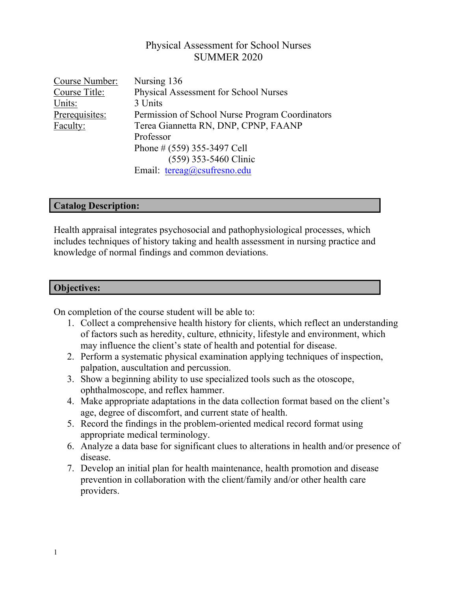# Physical Assessment for School Nurses SUMMER 2020

| Course Number: | Nursing 136                                     |
|----------------|-------------------------------------------------|
| Course Title:  | Physical Assessment for School Nurses           |
| Units:         | 3 Units                                         |
| Prerequisites: | Permission of School Nurse Program Coordinators |
| Faculty:       | Terea Giannetta RN, DNP, CPNP, FAANP            |
|                | Professor                                       |
|                | Phone # $(559)$ 355-3497 Cell                   |
|                | (559) 353-5460 Clinic                           |
|                | Email: $tereag@csufresno.edu$                   |

### **Catalog Description:**

Health appraisal integrates psychosocial and pathophysiological processes, which includes techniques of history taking and health assessment in nursing practice and knowledge of normal findings and common deviations.

### **Objectives:**

On completion of the course student will be able to:

- 1. Collect a comprehensive health history for clients, which reflect an understanding of factors such as heredity, culture, ethnicity, lifestyle and environment, which may influence the client's state of health and potential for disease.
- 2. Perform a systematic physical examination applying techniques of inspection, palpation, auscultation and percussion.
- 3. Show a beginning ability to use specialized tools such as the otoscope, ophthalmoscope, and reflex hammer.
- 4. Make appropriate adaptations in the data collection format based on the client's age, degree of discomfort, and current state of health.
- 5. Record the findings in the problem-oriented medical record format using appropriate medical terminology.
- 6. Analyze a data base for significant clues to alterations in health and/or presence of disease.
- 7. Develop an initial plan for health maintenance, health promotion and disease prevention in collaboration with the client/family and/or other health care providers.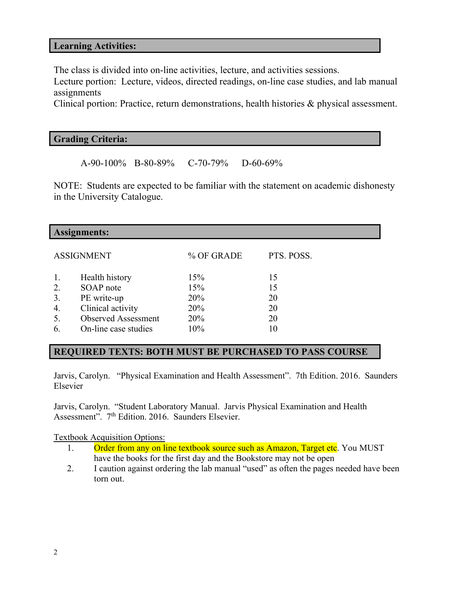### **Learning Activities:**

The class is divided into on-line activities, lecture, and activities sessions.

Lecture portion: Lecture, videos, directed readings, on-line case studies, and lab manual assignments

Clinical portion: Practice, return demonstrations, health histories & physical assessment.

#### **Grading Criteria:**

A-90-100% B-80-89% C-70-79% D-60-69%

NOTE: Students are expected to be familiar with the statement on academic dishonesty in the University Catalogue.

| <b>Assignments:</b> |                            |            |            |  |  |  |
|---------------------|----------------------------|------------|------------|--|--|--|
|                     | <b>ASSIGNMENT</b>          | % OF GRADE | PTS. POSS. |  |  |  |
| 1.                  | Health history             | 15%        | 15         |  |  |  |
| 2.                  | SOAP note                  | 15%        | 15         |  |  |  |
| 3.                  | PE write-up                | 20%        | 20         |  |  |  |
| 4.                  | Clinical activity          | 20%        | 20         |  |  |  |
| 5.                  | <b>Observed Assessment</b> | 20%        | 20         |  |  |  |
| 6.                  | On-line case studies       | 10%        | 10         |  |  |  |

# **REQUIRED TEXTS: BOTH MUST BE PURCHASED TO PASS COURSE**

Jarvis, Carolyn. "Physical Examination and Health Assessment". 7th Edition. 2016. Saunders Elsevier

Jarvis, Carolyn. "Student Laboratory Manual. Jarvis Physical Examination and Health Assessment". 7<sup>th</sup> Edition. 2016. Saunders Elsevier.

Textbook Acquisition Options:

- 1. Order from any on line textbook source such as Amazon, Target etc. You MUST have the books for the first day and the Bookstore may not be open
- 2. I caution against ordering the lab manual "used" as often the pages needed have been torn out.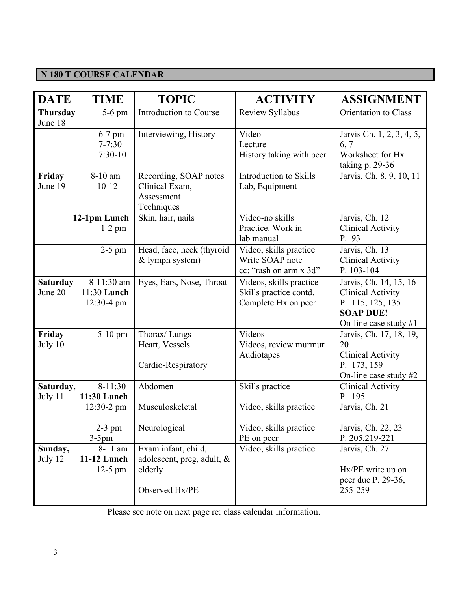# **N 180 T COURSE CALENDAR**

| <b>DATE</b>                | <b>TIME</b>                                | <b>TOPIC</b>                                                                   | <b>ACTIVITY</b>                                                          | <b>ASSIGNMENT</b>                                                                                                   |
|----------------------------|--------------------------------------------|--------------------------------------------------------------------------------|--------------------------------------------------------------------------|---------------------------------------------------------------------------------------------------------------------|
| <b>Thursday</b><br>June 18 | $5-6$ pm                                   | Introduction to Course                                                         | Review Syllabus                                                          | Orientation to Class                                                                                                |
|                            | 6-7 pm<br>$7 - 7:30$<br>$7:30-10$          | Interviewing, History                                                          | Video<br>Lecture<br>History taking with peer                             | Jarvis Ch. 1, 2, 3, 4, 5,<br>6, 7<br>Worksheet for Hx<br>taking $p. 29-36$                                          |
| Friday<br>June 19          | 8-10 am<br>$10 - 12$                       | Recording, SOAP notes<br>Clinical Exam,<br>Assessment<br>Techniques            | Introduction to Skills<br>Lab, Equipment                                 | Jarvis, Ch. 8, 9, 10, 11                                                                                            |
|                            | 12-1pm Lunch<br>$1-2$ pm                   | Skin, hair, nails                                                              | Video-no skills<br>Practice. Work in<br>lab manual                       | Jarvis, Ch. 12<br><b>Clinical Activity</b><br>P. 93                                                                 |
|                            | $2-5$ pm                                   | Head, face, neck (thyroid<br>& lymph system)                                   | Video, skills practice<br>Write SOAP note<br>cc: "rash on arm x 3d"      | Jarvis, Ch. 13<br><b>Clinical Activity</b><br>P. 103-104                                                            |
| <b>Saturday</b><br>June 20 | 8-11:30 am<br>11:30 Lunch<br>$12:30-4$ pm  | Eyes, Ears, Nose, Throat                                                       | Videos, skills practice<br>Skills practice contd.<br>Complete Hx on peer | Jarvis, Ch. 14, 15, 16<br><b>Clinical Activity</b><br>P. 115, 125, 135<br><b>SOAP DUE!</b><br>On-line case study #1 |
| Friday<br>July 10          | $5-10$ pm                                  | Thorax/Lungs<br>Heart, Vessels<br>Cardio-Respiratory                           | Videos<br>Videos, review murmur<br>Audiotapes                            | Jarvis, Ch. 17, 18, 19,<br>20<br><b>Clinical Activity</b><br>P. 173, 159<br>On-line case study #2                   |
| Saturday,<br>July 11       | $8-11:30$<br>11:30 Lunch<br>$12:30-2$ pm   | Abdomen<br>Musculoskeletal                                                     | Skills practice<br>Video, skills practice                                | <b>Clinical Activity</b><br>P. 195<br>Jarvis, Ch. 21                                                                |
|                            | $2-3$ pm<br>$3-5$ pm                       | Neurological                                                                   | Video, skills practice<br>PE on peer                                     | Jarvis, Ch. 22, 23<br>P. 205,219-221                                                                                |
| Sunday,<br>July 12         | 8-11 am<br><b>11-12 Lunch</b><br>$12-5$ pm | Exam infant, child,<br>adolescent, preg, adult, &<br>elderly<br>Observed Hx/PE | Video, skills practice                                                   | Jarvis, Ch. 27<br>Hx/PE write up on<br>peer due P. 29-36,<br>255-259                                                |

Please see note on next page re: class calendar information.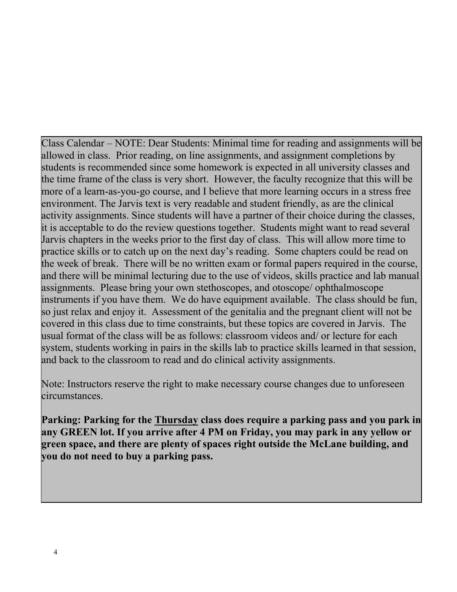Class Calendar – NOTE: Dear Students: Minimal time for reading and assignments will be allowed in class. Prior reading, on line assignments, and assignment completions by students is recommended since some homework is expected in all university classes and the time frame of the class is very short. However, the faculty recognize that this will be more of a learn-as-you-go course, and I believe that more learning occurs in a stress free environment. The Jarvis text is very readable and student friendly, as are the clinical activity assignments. Since students will have a partner of their choice during the classes, it is acceptable to do the review questions together. Students might want to read several Jarvis chapters in the weeks prior to the first day of class. This will allow more time to practice skills or to catch up on the next day's reading. Some chapters could be read on the week of break. There will be no written exam or formal papers required in the course, and there will be minimal lecturing due to the use of videos, skills practice and lab manual assignments. Please bring your own stethoscopes, and otoscope/ ophthalmoscope instruments if you have them. We do have equipment available. The class should be fun, so just relax and enjoy it. Assessment of the genitalia and the pregnant client will not be covered in this class due to time constraints, but these topics are covered in Jarvis. The usual format of the class will be as follows: classroom videos and/ or lecture for each system, students working in pairs in the skills lab to practice skills learned in that session, and back to the classroom to read and do clinical activity assignments.

Note: Instructors reserve the right to make necessary course changes due to unforeseen circumstances.

**Parking: Parking for the Thursday class does require a parking pass and you park in any GREEN lot. If you arrive after 4 PM on Friday, you may park in any yellow or green space, and there are plenty of spaces right outside the McLane building, and you do not need to buy a parking pass.**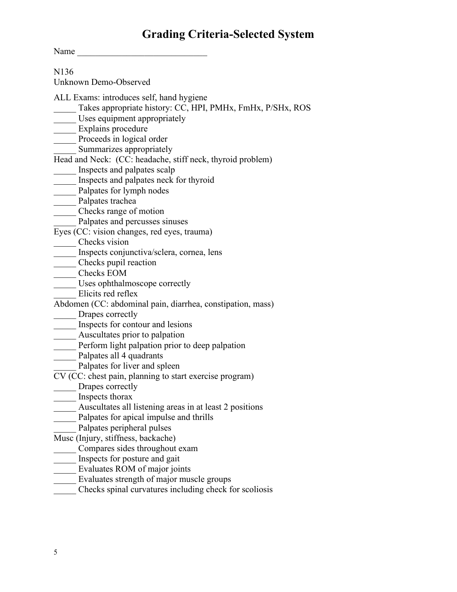# **Grading Criteria-Selected System**

Name

N136 Unknown Demo-Observed ALL Exams: introduces self, hand hygiene Takes appropriate history: CC, HPI, PMHx, FmHx, P/SHx, ROS Uses equipment appropriately Explains procedure \_\_\_\_\_ Proceeds in logical order Summarizes appropriately Head and Neck: (CC: headache, stiff neck, thyroid problem) \_\_\_\_\_ Inspects and palpates scalp \_\_\_\_\_ Inspects and palpates neck for thyroid \_\_\_\_\_ Palpates for lymph nodes Palpates trachea \_\_\_\_\_ Checks range of motion Palpates and percusses sinuses Eyes (CC: vision changes, red eyes, trauma) Checks vision \_\_\_\_\_ Inspects conjunctiva/sclera, cornea, lens \_\_\_\_\_ Checks pupil reaction \_\_\_\_\_ Checks EOM \_\_\_\_\_ Uses ophthalmoscope correctly Elicits red reflex Abdomen (CC: abdominal pain, diarrhea, constipation, mass) \_\_\_\_\_ Drapes correctly \_\_\_\_\_ Inspects for contour and lesions Auscultates prior to palpation Perform light palpation prior to deep palpation Palpates all 4 quadrants Palpates for liver and spleen CV (CC: chest pain, planning to start exercise program) Drapes correctly \_\_\_\_\_ Inspects thorax Auscultates all listening areas in at least 2 positions \_\_\_\_\_ Palpates for apical impulse and thrills Palpates peripheral pulses Musc (Injury, stiffness, backache) \_\_\_\_\_ Compares sides throughout exam **Inspects for posture and gait** \_\_\_\_\_ Evaluates ROM of major joints Evaluates strength of major muscle groups \_\_\_\_\_ Checks spinal curvatures including check for scoliosis